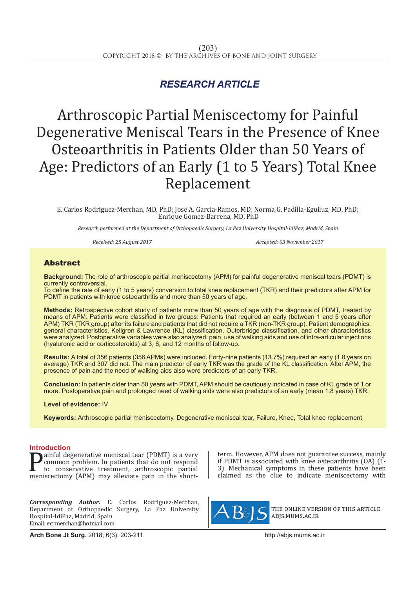# *RESEARCH ARTICLE*

# Arthroscopic Partial Meniscectomy for Painful Degenerative Meniscal Tears in the Presence of Knee Osteoarthritis in Patients Older than 50 Years of Age: Predictors of an Early (1 to 5 Years) Total Knee Replacement

E. Carlos Rodriguez-Merchan, MD, PhD; Jose A. Garcia-Ramos, MD; Norma G. Padilla-Eguiluz, MD, PhD; Enrique Gomez-Barrena, MD, PhD

*Research performed at the Department of Orthopaedic Surgery, La Paz University Hospital-IdiPaz, Madrid, Spain*

*Received: 25 August 2017 Accepted: 03 November 2017*

# Abstract

**Background:** The role of arthroscopic partial meniscectomy (APM) for painful degenerative meniscal tears (PDMT) is currently controversial.

To define the rate of early (1 to 5 years) conversion to total knee replacement (TKR) and their predictors after APM for PDMT in patients with knee osteoarthritis and more than 50 years of age.

**Methods:** Retrospective cohort study of patients more than 50 years of age with the diagnosis of PDMT, treated by means of APM. Patients were classified in two groups: Patients that required an early (between 1 and 5 years after APM) TKR (TKR group) after its failure and patients that did not require a TKR (non-TKR group). Patient demographics, general characteristics, Kellgren & Lawrence (KL) classification, Outerbridge classification, and other characteristics were analyzed. Postoperative variables were also analyzed: pain, use of walking aids and use of intra-articular injections (hyaluronic acid or corticosteroids) at 3, 6, and 12 months of follow-up.

**Results:** A total of 356 patients (356 APMs) were included. Forty-nine patients (13.7%) required an early (1.8 years on average) TKR and 307 did not. The main predictor of early TKR was the grade of the KL classification. After APM, the presence of pain and the need of walking aids also were predictors of an early TKR.

**Conclusion:** In patients older than 50 years with PDMT, APM should be cautiously indicated in case of KL grade of 1 or more. Postoperative pain and prolonged need of walking aids were also predictors of an early (mean 1.8 years) TKR.

## **Level of evidence:** IV

**Keywords:** Arthroscopic partial meniscectomy, Degenerative meniscal tear, Failure, Knee, Total knee replacement

**Introduction**<br>**In a** ainful degenerative meniscal tear (PDMT) is a very **Painful degenerative meniscal tear (PDMT) is a very common problem.** In patients that do not respond to conservative treatment, arthroscopic partial meniscectomy (APM) may alleviate pain in the shortcommon problem. In patients that do not respond to conservative treatment, arthroscopic partial

*Corresponding Author:* E. Carlos Rodriguez-Merchan, Department of Orthopaedic Surgery, La Paz University Hospital-IdiPaz, Madrid, Spain Email: ecrmerchan@hotmail.com

term. However, APM does not guarantee success, mainly if PDMT is associated with knee osteoarthritis (OA) (1- 3). Mechanical symptoms in these patients have been claimed as the clue to indicate meniscectomy with



the online version of this article abjs.mums.ac.ir

**Arch Bone Jt Surg.** 2018; 6(3): 203-211.http://abjs.mums.ac.ir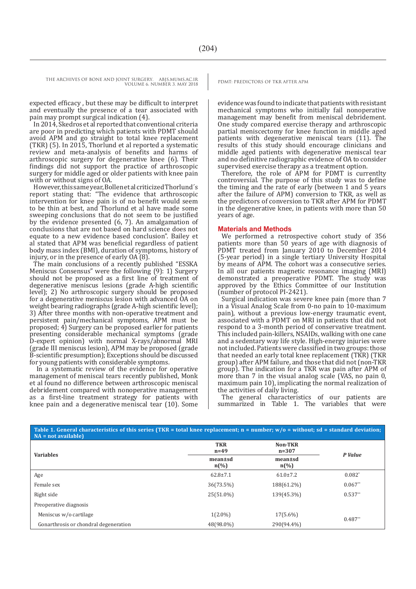expected efficacy , but these may be difficult to interpret and eventually the presence of a tear associated with pain may prompt surgical indication (4).

In 2014, Skedros et al reported that conventional criteria are poor in predicting which patients with PDMT should avoid APM and go straight to total knee replacement (TKR) (5). In 2015, Thorlund et al reported a systematic review and meta-analysis of benefits and harms of arthroscopic surgery for degenerative knee (6). Their findings did not support the practice of arthroscopic surgery for middle aged or older patients with knee pain with or without signs of OA.

However, this same year, Bollen et al criticized Thorlund´s report stating that: "The evidence that arthroscopic intervention for knee pain is of no benefit would seem to be thin at best, and Thorlund et al have made some sweeping conclusions that do not seem to be justified by the evidence presented (6, 7). An amalgamation of conclusions that are not based on hard science does not equate to a new evidence based conclusion". Bailey et al stated that APM was beneficial regardless of patient body mass index (BMI), duration of symptoms, history of injury, or in the presence of early 0A (8).

The main conclusions of a recently published "ESSKA Meniscus Consensus" were the following (9): 1) Surgery should not be proposed as a first line of treatment of degenerative meniscus lesions (grade A-high scientific level); 2) No arthroscopic surgery should be proposed for a degenerative meniscus lesion with advanced OA on weight bearing radiographs (grade A-high scientific level); 3) After three months with non-operative treatment and persistent pain/mechanical symptoms, APM must be proposed; 4) Surgery can be proposed earlier for patients presenting considerable mechanical symptoms (grade D-expert opinion) with normal X-rays/abnormal MRI (grade III meniscus lesion), APM may be proposed (grade B-scientific presumption); Exceptions should be discussed for young patients with considerable symptoms.

In a systematic review of the evidence for operative management of meniscal tears recently published, Monk et al found no difference between arthroscopic meniscal debridement compared with nonoperative management as a first-line treatment strategy for patients with knee pain and a degenerative meniscal tear (10). Some

evidence was found to indicate that patients with resistant mechanical symptoms who initially fail nonoperative management may benefit from meniscal debridement. One study compared exercise therapy and arthroscopic partial meniscectomy for knee function in middle aged patients with degenerative meniscal tears (11). The results of this study should encourage clinicians and middle aged patients with degenerative meniscal tear and no definitive radiographic evidence of OA to consider supervised exercise therapy as a treatment option.

Therefore, the role of APM for PDMT is currentlty controversial. The purpose of this study was to define the timing and the rate of early (between 1 and 5 years after the failure of APM) conversion to TKR, as well as the predictors of conversion to TKR after APM for PDMT in the degenerative knee, in patients with more than 50 years of age.

### **Materials and Methods**

We performed a retrospective cohort study of 356 patients more than 50 years of age with diagnosis of PDMT treated from January 2010 to December 2014 (5-year period) in a single tertiary University Hospital by means of APM. The cohort was a consecutive series. In all our patients magnetic resonance imaging (MRI) demonstrated a preoperative PDMT. The study was approved by the Ethics Committee of our Institution (number of protocol PI-2421).

Surgical indication was severe knee pain (more than 7 in a Visual Analog Scale from 0-no pain to  $10$ -maximum pain), without a previous low-energy traumatic event, associated with a PDMT on MRI in patients that did not respond to a 3-month period of conservative treatment. This included pain-killers, NSAIDs, walking with one cane and a sedentary way life style. High-energy injuries were not included. Patients were classified in two groups: those that needed an early total knee replacement (TKR) (TKR group) after APM failure, and those that did not (non-TKR group). The indication for a TKR was pain after APM of more than 7 in the visual analog scale (VAS, no pain 0, maximum pain 10), implicating the normal realization of the activities of daily living.

The general characteristics of our patients are summarized in Table 1. The variables that were

| Table 1. General characteristics of this series (TKR = total knee replacement; $n = number$ ; $w/o = without$ ; sd = standard deviation;<br>$NA = not available$ |                               |                                        |           |  |  |
|------------------------------------------------------------------------------------------------------------------------------------------------------------------|-------------------------------|----------------------------------------|-----------|--|--|
|                                                                                                                                                                  | <b>TKR</b><br>$n=49$          | <b>Non-TKR</b><br>$n = 307$            |           |  |  |
| <b>Variables</b>                                                                                                                                                 | mean±sd<br>$n\left(\%\right)$ | mean±sd<br>$n\left(\frac{0}{0}\right)$ | P Value   |  |  |
| Age                                                                                                                                                              | $62.8 \pm 7.1$                | $61.0 \pm 7.2$                         | $0.082*$  |  |  |
| Female sex                                                                                                                                                       | 36(73.5%)                     | 188(61.2%)                             | $0.067**$ |  |  |
| Right side                                                                                                                                                       | 25(51.0%)                     | 139(45.3%)                             | $0.537**$ |  |  |
| Preoperative diagnosis                                                                                                                                           |                               |                                        |           |  |  |
| Meniscus w/o cartilage                                                                                                                                           | $1(2.0\%)$                    | $17(5.6\%)$                            | $0.487**$ |  |  |
| Gonarthrosis or chondral degeneration                                                                                                                            | 48(98.0%)                     | 290(94.4%)                             |           |  |  |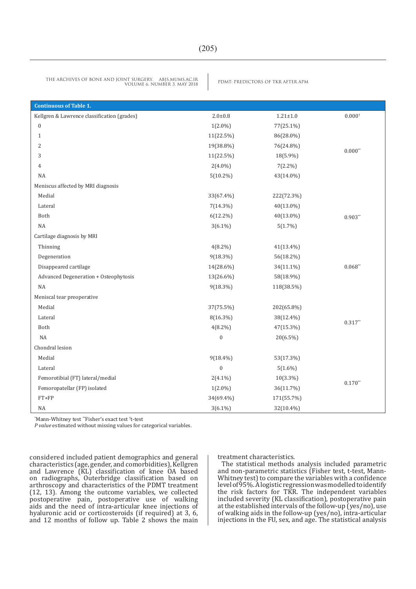| <b>Continuous of Table 1.</b>               |                  |                |                    |  |
|---------------------------------------------|------------------|----------------|--------------------|--|
| Kellgren & Lawrence classification (grades) | $2.0 \pm 0.8$    | $1.21 \pm 1.0$ | 0.000 <sup>†</sup> |  |
| $\boldsymbol{0}$                            | $1(2.0\%)$       | 77(25.1%)      |                    |  |
| $\mathbf{1}$                                | 11(22.5%)        | 86(28.0%)      |                    |  |
| 2                                           | 19(38.8%)        | 76(24.8%)      |                    |  |
| 3                                           | 11(22.5%)        | 18(5.9%)       | $0.000**$          |  |
| $\overline{4}$                              | $2(4.0\%)$       | $7(2.2\%)$     |                    |  |
| NA                                          | $5(10.2\%)$      | 43(14.0%)      |                    |  |
| Meniscus affected by MRI diagnosis          |                  |                |                    |  |
| Medial                                      | 33(67.4%)        | 222(72.3%)     |                    |  |
| Lateral                                     | 7(14.3%)         | 40(13.0%)      |                    |  |
| Both                                        | $6(12.2\%)$      | 40(13.0%)      | $0.903**$          |  |
| <b>NA</b>                                   | $3(6.1\%)$       | 5(1.7%)        |                    |  |
| Cartilage diagnosis by MRI                  |                  |                |                    |  |
| Thinning                                    | $4(8.2\%)$       | 41(13.4%)      |                    |  |
| Degeneration                                | 9(18.3%)         | 56(18.2%)      |                    |  |
| Disappeared cartilage                       | 14(28.6%)        | 34(11.1%)      | $0.068**$          |  |
| Advanced Degeneration + Osteophytosis       | 13(26.6%)        | 58(18.9%)      |                    |  |
| <b>NA</b>                                   | 9(18.3%)         | 118(38.5%)     |                    |  |
| Meniscal tear preoperative                  |                  |                |                    |  |
| Medial                                      | 37(75.5%)        | 202(65.8%)     |                    |  |
| Lateral                                     | 8(16.3%)         | 38(12.4%)      |                    |  |
| Both                                        | $4(8.2\%)$       | 47(15.3%)      | $0.317**$          |  |
| NA                                          | $\boldsymbol{0}$ | 20(6.5%)       |                    |  |
| Chondral lesion                             |                  |                |                    |  |
| Medial                                      | $9(18.4\%)$      | 53(17.3%)      |                    |  |
| Lateral                                     | $\boldsymbol{0}$ | $5(1.6\%)$     |                    |  |
| Femorotibial (FT) lateral/medial            | $2(4.1\%)$       | 10(3.3%)       | $0.170**$          |  |
| Femoropatellar (FP) isolated                | $1(2.0\%)$       | 36(11.7%)      |                    |  |
| $FT+FP$                                     | 34(69.4%)        | 171(55.7%)     |                    |  |
| NA                                          | $3(6.1\%)$       | 32(10.4%)      |                    |  |

\* Mann-Whitney test \*\*Fisher's exact test † t-test

*P value* estimated without missing values for categorical variables.

considered included patient demographics and general characteristics (age, gender, and comorbidities), Kellgren and Lawrence (KL) classification of knee OA based on radiographs, Outerbridge classification based on arthroscopy and characteristics of the PDMT treatment (12, 13). Among the outcome variables, we collected postoperative pain, postoperative use of walking aids and the need of intra-articular knee injections of hyaluronic acid or corticosteroids (if required) at 3, 6, and 12 months of follow up. Table 2 shows the main treatment characteristics.

The statistical methods analysis included parametric and non-parametric statistics (Fisher test, t-test, Mann-Whitney test) to compare the variables with a confidence level of 95%. A logistic regression was modelled to identify the risk factors for TKR. The independent variables included severity (KL classification), postoperative pain at the established intervals of the follow-up (yes/no), use of walking aids in the follow-up (yes/no), intra-articular injections in the FU, sex, and age. The statistical analysis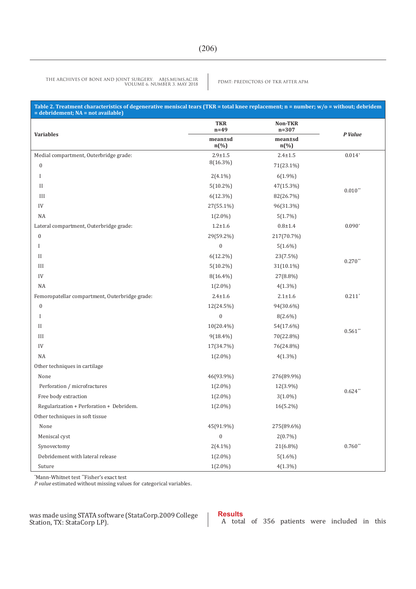PDMT: PREDICTORS OF TKR AFTER APM THE ARCHIVES OF BONE AND JOINT SURGERY. ABJS.MUMS.AC.IR VOLUME 6. NUMBER 3. MAY 2018

| Table 2. Treatment characteristics of degenerative meniscal tears (TKR = total knee replacement; n = number; w/o = without; debridem<br>$=$ debridement; $NA = not available$ |                                        |                               |           |  |
|-------------------------------------------------------------------------------------------------------------------------------------------------------------------------------|----------------------------------------|-------------------------------|-----------|--|
|                                                                                                                                                                               | <b>TKR</b><br>$n=49$                   | <b>Non-TKR</b><br>$n = 307$   |           |  |
| <b>Variables</b>                                                                                                                                                              | mean±sd<br>$n\left(\frac{0}{0}\right)$ | mean±sd<br>$n\left(\%\right)$ | P Value   |  |
| Medial compartment, Outerbridge grade:                                                                                                                                        | $2.9 + 1.5$                            | $2.4 \pm 1.5$                 | $0.014*$  |  |
| $\boldsymbol{0}$                                                                                                                                                              | 8(16.3%)                               | 71(23.1%)                     |           |  |
| I                                                                                                                                                                             | $2(4.1\%)$                             | $6(1.9\%)$                    |           |  |
| $\mathbf{I}$                                                                                                                                                                  | $5(10.2\%)$                            | 47(15.3%)                     |           |  |
| $\rm III$                                                                                                                                                                     | $6(12.3\%)$                            | 82(26.7%)                     | $0.010**$ |  |
| ${\rm IV}$                                                                                                                                                                    | 27(55.1%)                              | 96(31.3%)                     |           |  |
| <b>NA</b>                                                                                                                                                                     | $1(2.0\%)$                             | 5(1.7%)                       |           |  |
| Lateral compartment, Outerbridge grade:                                                                                                                                       | $1.2 + 1.6$                            | $0.8 + 1.4$                   | $0.090*$  |  |
| $\boldsymbol{0}$                                                                                                                                                              | 29(59.2%)                              | 217(70.7%)                    |           |  |
| I                                                                                                                                                                             | $\boldsymbol{0}$                       | $5(1.6\%)$                    |           |  |
| $_{\rm II}$                                                                                                                                                                   | $6(12.2\%)$                            | 23(7.5%)                      | $0.270**$ |  |
| III                                                                                                                                                                           | $5(10.2\%)$                            | 31(10.1%)                     |           |  |
| ${\rm IV}$                                                                                                                                                                    | 8(16.4%)                               | 27(8.8%)                      |           |  |
| <b>NA</b>                                                                                                                                                                     | $1(2.0\%)$                             | $4(1.3\%)$                    |           |  |
| Femoropatellar compartment, Outerbridge grade:                                                                                                                                | $2.4 \pm 1.6$                          | $2.1 \pm 1.6$                 | $0.211*$  |  |
| $\boldsymbol{0}$                                                                                                                                                              | 12(24.5%)                              | 94(30.6%)                     |           |  |
| I                                                                                                                                                                             | $\boldsymbol{0}$                       | 8(2.6%)                       |           |  |
| $_{\rm II}$                                                                                                                                                                   | 10(20.4%)                              | 54(17.6%)                     | $0.561**$ |  |
| $\rm III$                                                                                                                                                                     | $9(18.4\%)$                            | 70(22.8%)                     |           |  |
| IV                                                                                                                                                                            | 17(34.7%)                              | 76(24.8%)                     |           |  |
| NA                                                                                                                                                                            | $1(2.0\%)$                             | $4(1.3\%)$                    |           |  |
| Other techniques in cartilage                                                                                                                                                 |                                        |                               |           |  |
| None                                                                                                                                                                          | 46(93.9%)                              | 276(89.9%)                    |           |  |
| Perforation / microfractures                                                                                                                                                  | $1(2.0\%)$                             | 12(3.9%)                      | $0.624**$ |  |
| Free body extraction                                                                                                                                                          | $1(2.0\%)$                             | $3(1.0\%)$                    |           |  |
| Regularization + Perforation + Debridem.                                                                                                                                      | $1(2.0\%)$                             | 16(5.2%)                      |           |  |
| Other techniques in soft tissue                                                                                                                                               |                                        |                               |           |  |
| None                                                                                                                                                                          | 45(91.9%)                              | 275(89.6%)                    |           |  |
| Meniscal cyst                                                                                                                                                                 | $\boldsymbol{0}$                       | $2(0.7\%)$                    |           |  |
| Synovectomy                                                                                                                                                                   | $2(4.1\%)$                             | 21(6.8%)                      | $0.760**$ |  |
| Debridement with lateral release                                                                                                                                              | $1(2.0\%)$                             | $5(1.6\%)$                    |           |  |
| Suture                                                                                                                                                                        | $1(2.0\%)$                             | $4(1.3\%)$                    |           |  |

\* Mann-Whitnet test \*\*Fisher's exact test

*P value* estimated without missing values for categorical variables.

was made using STATA software (StataCorp.2009 College Station, TX: StataCorp LP).

# **Results**

A total of 356 patients were included in this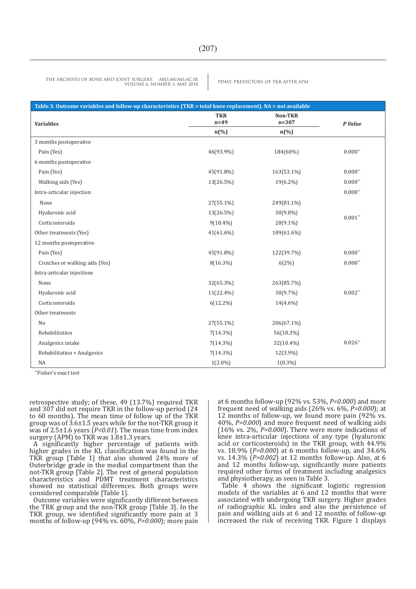| Table 3. Outcome variables and follow-up characteristics (TKR = total knee replacement). NA = not available |                             |                             |           |  |
|-------------------------------------------------------------------------------------------------------------|-----------------------------|-----------------------------|-----------|--|
| <b>Variables</b>                                                                                            | <b>TKR</b><br>$n=49$        | Non-TKR<br>$n = 307$        | P Value   |  |
|                                                                                                             | $n\left(\frac{0}{0}\right)$ | $n\left(\frac{0}{0}\right)$ |           |  |
| 3 months postoperative                                                                                      |                             |                             |           |  |
| Pain (Yes)                                                                                                  | 46(93.9%)                   | 184(60%)                    | $0.000**$ |  |
| 6 months postoperative                                                                                      |                             |                             |           |  |
| Pain (Yes)                                                                                                  | 45(91.8%)                   | 163(53.1%)                  | $0.000**$ |  |
| Walking aids (Yes)                                                                                          | 13(26.5%)                   | 19(6.2%)                    | $0.000**$ |  |
| Intra-articular injection                                                                                   |                             |                             | $0.000**$ |  |
| None                                                                                                        | 27(55.1%)                   | 249(81.1%)                  |           |  |
| Hyaluronic acid                                                                                             | 13(26.5%)                   | $30(9.8\%)$                 | $0.001**$ |  |
| Corticosteroids                                                                                             | $9(18.4\%)$                 | 28(9.1%)                    |           |  |
| Other treatments (Yes)                                                                                      | 41(61.6%)                   | 189(61.6%)                  |           |  |
| 12 months postoperative.                                                                                    |                             |                             |           |  |
| Pain (Yes)                                                                                                  | 45(91.8%)                   | 122(39.7%)                  | $0.000**$ |  |
| Crutches or walking aids (Yes)                                                                              | 8(16.3%)                    | 6(2%)                       | $0.000**$ |  |
| Intra-articular injections                                                                                  |                             |                             |           |  |
| None                                                                                                        | 32(65.3%)                   | 263(85.7%)                  |           |  |
| Hyaluronic acid                                                                                             | 11(22.4%)                   | 30(9.7%)                    | $0.002**$ |  |
| Corticosteroids                                                                                             | $6(12.2\%)$                 | $14(4.6\%)$                 |           |  |
| Other treatments                                                                                            |                             |                             |           |  |
| No                                                                                                          | 27(55.1%)                   | 206(67.1%)                  |           |  |
| Rehabilitation                                                                                              | $7(14.3\%)$                 | 56(18.3%)                   |           |  |
| Analgesics intake                                                                                           | $7(14.3\%)$                 | 32(10.4%)                   | $0.026**$ |  |
| Rehabilitation + Analgesics                                                                                 | $7(14.3\%)$                 | $12(3.9\%)$                 |           |  |
| NA                                                                                                          | $1(2.0\%)$                  | $1(0.3\%)$                  |           |  |

\*\*Fisher's exact test

retrospective study; of these, 49 (13.7%) required TKR and 307 did not require TKR in the follow-up period (24 to 60 months). The mean time of follow up of the TKR group was of 3.6±1.5 years while for the not-TKR group it was of 2.5±1.6 years (*P<0.01*). The mean time from index surgery (APM) to TKR was  $1.8\pm1.3$  years.

A significantly higher percentage of patients with higher grades in the KL classification was found in the TKR group [Table 1] that also showed 24% more of Outerbridge grade in the medial compartment than the not-TKR group [Table 2]. The rest of general population characteristics and PDMT treatment characteristics showed no statistical differences. Both groups were considered comparable [Table 1].

Outcome variables were significantly different between the TRK group and the non-TKR group [Table 3]. In the TKR group, we identified significantly more pain at 3 months of follow-up (94% vs. 60%, *P=0.000*); more pain at 6 months follow-up (92% vs. 53%, *P=0.000*) and more frequent need of walking aids (26% vs. 6%, *P=0.000*); at 12 months of follow-up, we found more pain (92% vs. 40%, *P=0.000*) and more frequent need of walking aids (16% vs. 2%, *P=0.000*). There were more indications of knee intra-articular injections of any type (hyaluronic acid or corticosteroids) in the TKR group, with 44.9% vs. 18.9% (*P=0.000*) at 6 months follow-up, and 34.6% vs. 14.3% (*P=0.002*) at 12 months follow-up. Also, at 6 and 12 months follow-up, significantly more patients required other forms of treatment including analgesics and physiotherapy, as seen in Table 3.

Table 4 shows the significant logistic regression models of the variables at 6 and 12 months that were associated with undergoing TKR surgery. Higher grades of radiographic KL index and also the persistence of pain and walking aids at 6 and 12 months of follow-up increased the risk of receiving TKR. Figure 1 displays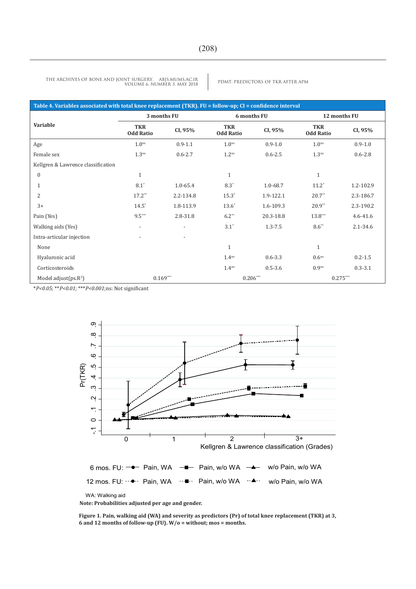PDMT: PREDICTORS OF TKR AFTER APM THE ARCHIVES OF BONE AND JOINT SURGERY. ABJS.MUMS.AC.IR VOLUME 6. NUMBER 3. MAY 2018

| Table 4. Variables associated with total knee replacement (TKR). FU = follow-up; CI = confidence interval |                                |                          |                                |              |                                |              |
|-----------------------------------------------------------------------------------------------------------|--------------------------------|--------------------------|--------------------------------|--------------|--------------------------------|--------------|
|                                                                                                           | 3 months FU                    |                          | 6 months FU                    |              | 12 months FU                   |              |
| Variable                                                                                                  | <b>TKR</b><br><b>Odd Ratio</b> | CI, 95%                  | <b>TKR</b><br><b>Odd Ratio</b> | CI, 95%      | <b>TKR</b><br><b>Odd Ratio</b> | CI, 95%      |
| Age                                                                                                       | 1.0 <sup>ns</sup>              | $0.9 - 1.1$              | 1.0 <sup>ns</sup>              | $0.9 - 1.0$  | 1.0 <sup>ns</sup>              | $0.9 - 1.0$  |
| Female sex                                                                                                | 1.3 <sup>ns</sup>              | $0.6 - 2.7$              | 1.2 <sup>ns</sup>              | $0.6 - 2.5$  | 1.3 <sup>ns</sup>              | $0.6 - 2.8$  |
| Kellgren & Lawrence classification                                                                        |                                |                          |                                |              |                                |              |
| $\boldsymbol{0}$                                                                                          | $\mathbf{1}$                   |                          | $\mathbf{1}$                   |              | $\mathbf{1}$                   |              |
| 1                                                                                                         | $8.1*$                         | $1.0 - 65.4$             | $8.3*$                         | $1.0 - 68.7$ | $11.2*$                        | 1.2-102.9    |
| 2                                                                                                         | $17.2**$                       | 2.2-134.8                | $15.3*$                        | 1.9-122.1    | $20.7**$                       | 2.3-186.7    |
| $3+$                                                                                                      | $14.5*$                        | 1.8-113.9                | $13.6*$                        | 1.6-109.3    | $20.9**$                       | 2.3-190.2    |
| Pain (Yes)                                                                                                | $9.5***$                       | 2.8-31.8                 | $6.2**$                        | 20.3-18.8    | 13.8***                        | $4.6 - 41.6$ |
| Walking aids (Yes)                                                                                        | $\overline{\phantom{a}}$       |                          | $3.1*$                         | $1.3 - 7.5$  | $8.6**$                        | $2.1 - 34.6$ |
| Intra-articular injection                                                                                 |                                | $\overline{\phantom{a}}$ |                                |              |                                |              |
| None                                                                                                      |                                |                          | $\mathbf{1}$                   |              | $\mathbf{1}$                   |              |
| Hyaluronic acid                                                                                           |                                |                          | 1.4 <sup>ns</sup>              | $0.6 - 3.3$  | 0.6 <sup>ns</sup>              | $0.2 - 1.5$  |
| Corticosteroids                                                                                           |                                |                          | 1.4 <sup>ns</sup>              | $0.5 - 3.6$  | 0.9 <sup>ns</sup>              | $0.3 - 3.1$  |
| Model adjust( $ps.R^2$ )                                                                                  | $0.169***$                     |                          | $0.206***$                     |              | $0.275***$                     |              |

\**P<0.05*; \*\**P<0.01*; \*\*\**P<0.001*;ns: Not significant



**Note: Probabilities adjusted per age and gender.**

**Figure 1. Pain, walking aid (WA) and severity as predictors (Pr) of total knee replacement (TKR) at 3, 6 and 12 months of follow-up (FU). W/o = without; mos = months.**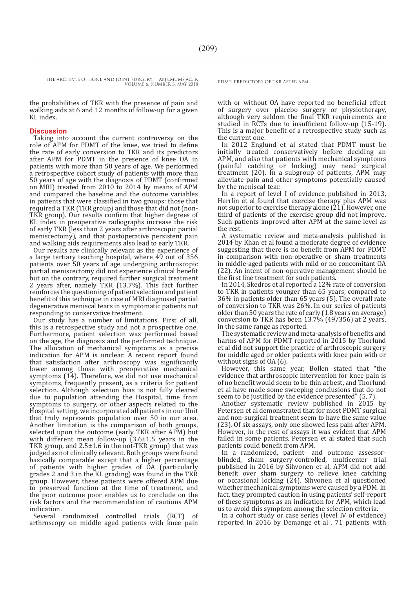the probabilities of TKR with the presence of pain and walking aids at 6 and 12 months of follow-up for a given KL index.

# **Discussion**

Taking into account the current controversy on the role of APM for PDMT of the knee, we tried to define the rate of early conversion to TKR and its predictors after APM for PDMT in the presence of knee OA in patients with more than 50 years of age. We performed a retrospective cohort study of patients with more than 50 years of age with the diagnosis of PDMT (confirmed on MRI) treated from 2010 to 2014 by means of APM and compared the baseline and the outcome variables in patients that were classified in two groups: those that required a TKR (TKR group) and those that did not (non-TKR group). Our results confirm that higher degrees of KL index in preoperative radiographs increase the risk of early TKR (less than 2 years after arthroscopic partial meniscectomy), and that postoperative persistent pain and walking aids requirements also lead to early TKR.

Our results are clinically relevant as the experience of a large tertiary teaching hospital, where 49 out of 356 patients over 50 years of age undergoing arthroscopic partial meniscectomy did not experience clinical benefit but on the contrary, required further surgical treatment 2 years after, namely TKR (13.7%). This fact further reinforces the questioning of patient selection and patient benefit of this technique in case of MRI diagnosed partial degenerative meniscal tears in symptomatic patients not responding to conservative treatment.

Our study has a number of limitations. First of all, this is a retrospective study and not a prospective one. Furthermore, patient selection was performed based on the age, the diagnosis and the performed technique. The allocation of mechanical symptoms as a precise indication for APM is unclear. A recent report found that satisfaction after arthroscopy was significantly lower among those with preoperative mechanical symptoms (14). Therefore, we did not use mechanical symptoms, frequently present, as a criteria for patient selection. Although selection bias is not fully cleared due to population attending the Hospital, time from symptoms to surgery, or other aspects related to the Hospital setting, we incorporated all patients in our Unit that truly represents population over 50 in our area. Another limitation is the comparison of both groups, selected upon the outcome (early TKR after APM) but with different mean follow-up  $(3.6\pm1.5)$  years in the TKR group, and 2.5±1.6 in the not-TKR group) that was judged as not clinically relevant. Both groups were found basically comparable except that a higher percentage of patients with higher grades of OA (particularly grades 2 and 3 in the KL grading) was found in the TKR group. However, these patients were offered APM due to preserved function at the time of treatment, and the poor outcome poor enables us to conclude on the risk factors and the recommendation of cautious APM indication.

Several randomized controlled trials (RCT) of arthroscopy on middle aged patients with knee pain

with or without OA have reported no beneficial effect of surgery over placebo surgery or physiotherapy, although very seldom the final TKR requirements are studied in RCTs due to insufficient follow-up (15-19). This is a major benefit of a retrospective study such as the current one.

In 2012 Englund et al stated that PDMT must be initially treated conservatively before deciding an APM, and also that patients with mechanical symptoms (painful catching or locking) may need surgical treatment (20). In a subgroup of patients, APM may alleviate pain and other symptoms potentially caused by the meniscal tear.

In a report of level I of evidence published in 2013, Herrlin et al found that exercise therapy plus APM was not superior to exercise therapy alone (21). However, one third of patients of the exercise group did not improve. Such patients improved after APM at the same level as the rest.

A systematic review and meta-analysis published in 2014 by Khan et al found a moderate degree of evidence suggesting that there is no benefit from APM for PDMT in comparison with non-operative or sham treatments in middle-aged patients with mild or no concomitant OA (22). An intent of non-operative management should be the first line treatment for such patients.

In 2014, Skedros et al reported a 12% rate of conversion to TKR in patients younger than 65 years, compared to 36% in patients older than 65 years (5). The overall rate of conversion to TKR was 26%. In our series of patients older than 50 years the rate of early (1.8 years on average) conversion to TKR has been 13.7% (49/356) at 2 years, in the same range as reported.

The systematic review and meta-analysis of benefits and harms of APM for PDMT reported in 2015 by Thorlund et al did not support the practice of arthroscopic surgery for middle aged or older patients with knee pain with or without signs of OA (6).

However, this same year, Bollen stated that "the evidence that arthroscopic intervention for knee pain is of no benefit would seem to be thin at best, and Thorlund et al have made some sweeping conclusions that do not seem to be justified by the evidence presented" (5, 7).

Another systematic review published in 2015 by Petersen et al demonstrated that for most PDMT surgical and non-surgical treatment seem to have the same value (23). Of six assays, only one showed less pain after APM. However, in the rest of assays it was evident that APM failed in some patients. Petersen et al stated that such patients could benefit from APM.

In a randomized, patient- and outcome assessorblinded, sham surgery-controlled, multicenter trial published in 2016 by Sihvonen et al, APM did not add benefit over sham surgery to relieve knee catching or occasional locking  $(24)$ . Sihvonen et al questioned whether mechanical symptoms were caused by a PDM. In fact, they prompted caution in using patients' self-report of these symptoms as an indication for APM, which lead us to avoid this symptom among the selection criteria.

In a cohort study or case series (level IV of evidence) reported in 2016 by Demange et al , 71 patients with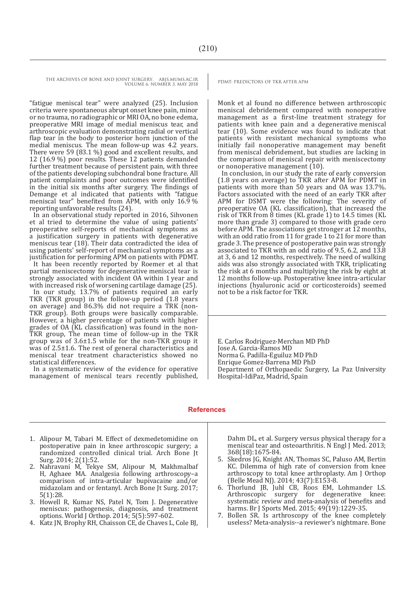"fatigue meniscal tear" were analyzed (25). Inclusion criteria were spontaneous abrupt onset knee pain, minor or no trauma, no radiographic or MRI OA, no bone edema, preoperative MRI image of medial meniscus tear, and arthroscopic evaluation demonstrating radial or vertical flap tear in the body to posterior horn junction of the medial meniscus. The mean follow-up was 4.2 years. There were 59 (83.1 %) good and excellent results, and 12 (16.9 %) poor results. These 12 patients demanded further treatment because of persistent pain, with three of the patients developing subchondral bone fracture. All patient complaints and poor outcomes were identified in the initial six months after surgery. The findings of Demange et al indicated that patients with "fatigue meniscal tear" benefited from APM, with only 16.9 % reporting unfavorable results (24).

In an observational study reported in 2016, Sihvonen et al tried to determine the value of using patients' preoperative self-reports of mechanical symptoms as a justification surgery in patients with degenerative meniscus tear (18). Their data contradicted the idea of using patients' self-report of mechanical symptoms as a justification for performing APM on patients with PDMT.

It has been recently reported by Roemer et al that partial meniscectomy for degenerative meniscal tear is strongly associated with incident OA within 1 year and with increased risk of worsening cartilage damage (25).

In our study, 13.7% of patients required an early TKR (TKR group) in the follow-up period (1.8 years on average) and 86.3% did not require a TRK (non-TKR group). Both groups were basically comparable. However, a higher percentage of patients with higher grades of OA (KL classification) was found in the non-TKR group, The mean time of follow-up in the TKR group was of 3.6±1.5 while for the non-TKR group it was of 2.5±1.6. The rest of general characteristics and meniscal tear treatment characteristics showed no statistical differences.

In a systematic review of the evidence for operative management of meniscal tears recently published,

Monk et al found no difference between arthroscopic meniscal debridement compared with nonoperative management as a first-line treatment strategy for patients with knee pain and a degenerative meniscal tear (10). Some evidence was found to indicate that patients with resistant mechanical symptoms who initially fail nonoperative management may benefit from meniscal debridement, but studies are lacking in the comparison of meniscal repair with meniscectomy or nonoperative management (10).

In conclusion, in our study the rate of early conversion (1.8 years on average) to TKR after APM for PDMT in patients with more than 50 years and OA was 13.7%. Factors associated with the need of an early TKR after APM for DSMT were the following: The severity of preoperative OA (KL classification), that increased the risk of TKR from 8 times (KL grade 1) to 14.5 times (KL more than grade 3) compared to those with grade cero before APM. The associations get stronger at 12 months, with an odd ratio from 11 for grade 1 to 21 for more than grade 3. The presence of postoperative pain was strongly associated to TKR with an odd ratio of 9.5, 6.2, and 13.8 at 3, 6 and 12 months, respectively. The need of walking aids was also strongly associated with TKR, triplicating the risk at 6 months and multiplying the risk by eight at 12 months follow-up. Postoperative knee intra-articular injections (hyaluronic acid or corticosteroids) seemed not to be a risk factor for TKR.

E. Carlos Rodriguez-Merchan MD PhD Jose A. Garcia-Ramos MD Norma G. Padilla-Eguiluz MD PhD Enrique Gomez-Barrena MD PhD Department of Orthopaedic Surgery, La Paz University Hospital-IdiPaz, Madrid, Spain

### **References**

- 1. Alipour M, Tabari M. Effect of dexmedetomidine on postoperative pain in knee arthroscopic surgery; a randomized controlled clinical trial. Arch Bone Jt Surg. 2014; 2(1):52.
- 2. Nahravani M, Tekye SM, Alipour M, Makhmalbaf H, Aghaee MA. Analgesia following arthroscopy–a comparison of intra-articular bupivacaine and/or midazolam and or fentanyl. Arch Bone Jt Surg. 2017; 5(1):28.
- 3. Howell R, Kumar NS, Patel N, Tom J. Degenerative meniscus: pathogenesis, diagnosis, and treatment options. World J Orthop. 2014; 5(5):597-602.
- 4. Katz JN, Brophy RH, Chaisson CE, de Chaves L, Cole BJ,

Dahm DL, et al. Surgery versus physical therapy for a meniscal tear and osteoarthritis. N Engl J Med. 2013; 368(18):1675-84.

- 5. Skedros JG, Knight AN, Thomas SC, Paluso AM, Bertin KC. Dilemma of high rate of conversion from knee arthroscopy to total knee arthroplasty. Am J Orthop
- 6. Thorlund JB, Juhl CB, Roos EM, Lohmander LS. Arthroscopic surgery for degenerative knee: systematic review and meta-analysis of benefits and harms. Br J Sports Med. 2015; 49(19):1229-35.
- 7. Bollen SR. Is arthroscopy of the knee completely useless? Meta-analysis--a reviewer's nightmare. Bone